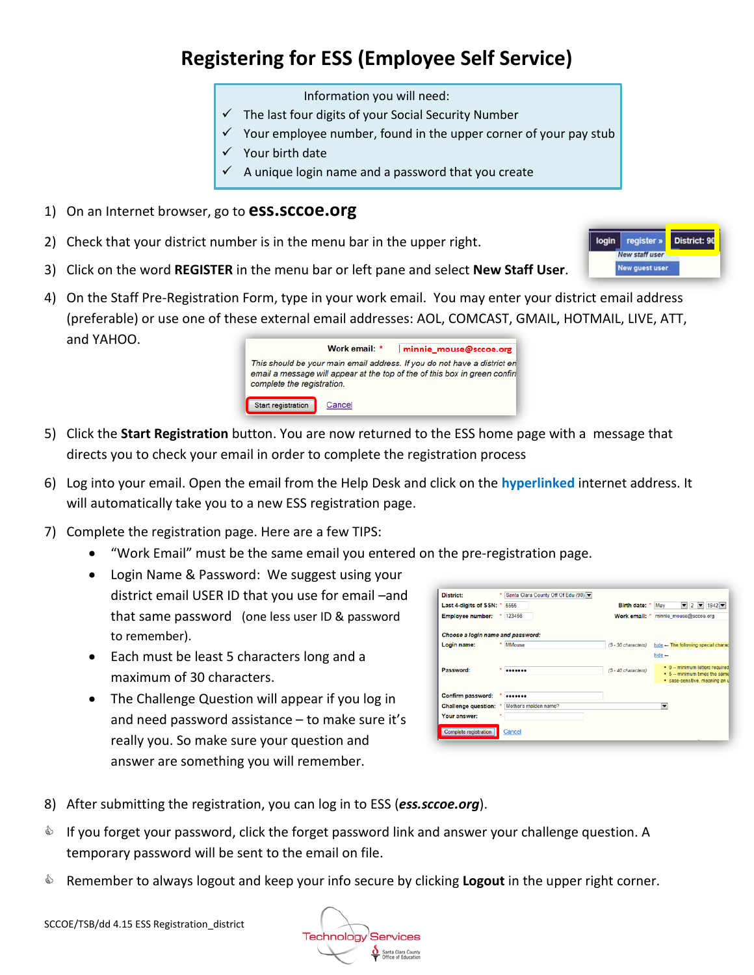## **Registering for ESS (Employee Self Service)**

- Information you will need:
- $\checkmark$  The last four digits of your Social Security Number
- $\checkmark$  Your employee number, found in the upper corner of your pay stub
- $\checkmark$  Your birth date
- $\checkmark$  A unique login name and a password that you create
- 1) On an Internet browser, go to **ess.sccoe.org**
- 2) Check that your district number is in the menu bar in the upper right.
- 3) Click on the word **REGISTER** in the menu bar or left pane and select **New Staff User**.
- 4) On the Staff Pre-Registration Form, type in your work email. You may enter your district email address (preferable) or use one of these external email addresses: AOL, COMCAST, GMAIL, HOTMAIL, LIVE, ATT, and YAHOO.



- 5) Click the **Start Registration** button. You are now returned to the ESS home page with a message that directs you to check your email in order to complete the registration process
- 6) Log into your email. Open the email from the Help Desk and click on the **hyperlinked** internet address. It will automatically take you to a new ESS registration page.
- 7) Complete the registration page. Here are a few TIPS:
	- "Work Email" must be the same email you entered on the pre-registration page.
	- Login Name & Password: We suggest using your district email USER ID that you use for email –and that same password (one less user ID & password to remember).
	- Each must be least 5 characters long and a maximum of 30 characters.
	- The Challenge Question will appear if you log in and need password assistance – to make sure it's really you. So make sure your question and answer are something you will remember.

| <b>District:</b>                  | Santa Clara County Off Of Edu (90)          |                                                                                         |
|-----------------------------------|---------------------------------------------|-----------------------------------------------------------------------------------------|
| Last 4-digits of SSN: *           | 5555                                        | $\bullet$ 2 $\bullet$ 1942 $\bullet$<br>Birth date: *<br>May                            |
| <b>Employee number:</b>           | 123456                                      | Work email: * minnie_mouse@sccoe.org                                                    |
| Choose a login name and password: |                                             |                                                                                         |
| Login name:                       | <b>MMouse</b>                               | (5 - 30 characters)<br>hide - The following special charact                             |
|                                   |                                             | $h$ ide $-$                                                                             |
| Password:                         | ٠<br>                                       | • 0 -- minimum letters required<br>(5 - 40 characters)<br>• 5 -- minimum times the same |
|                                   |                                             | · case-sensitive, meaning an u                                                          |
| Confirm password:                 | "                                           |                                                                                         |
|                                   | Challenge question: * Mother's maiden name? | ▼                                                                                       |
| Your answer:                      |                                             |                                                                                         |
| Complete registration             | Cancel                                      |                                                                                         |

- 8) After submitting the registration, you can log in to ESS (*ess.sccoe.org*).
- $\bullet$  If you forget your password, click the forget password link and answer your challenge question. A temporary password will be sent to the email on file.
- Remember to always logout and keep your info secure by clicking **Logout** in the upper right corner.

**Technology Services** Santa Clara County